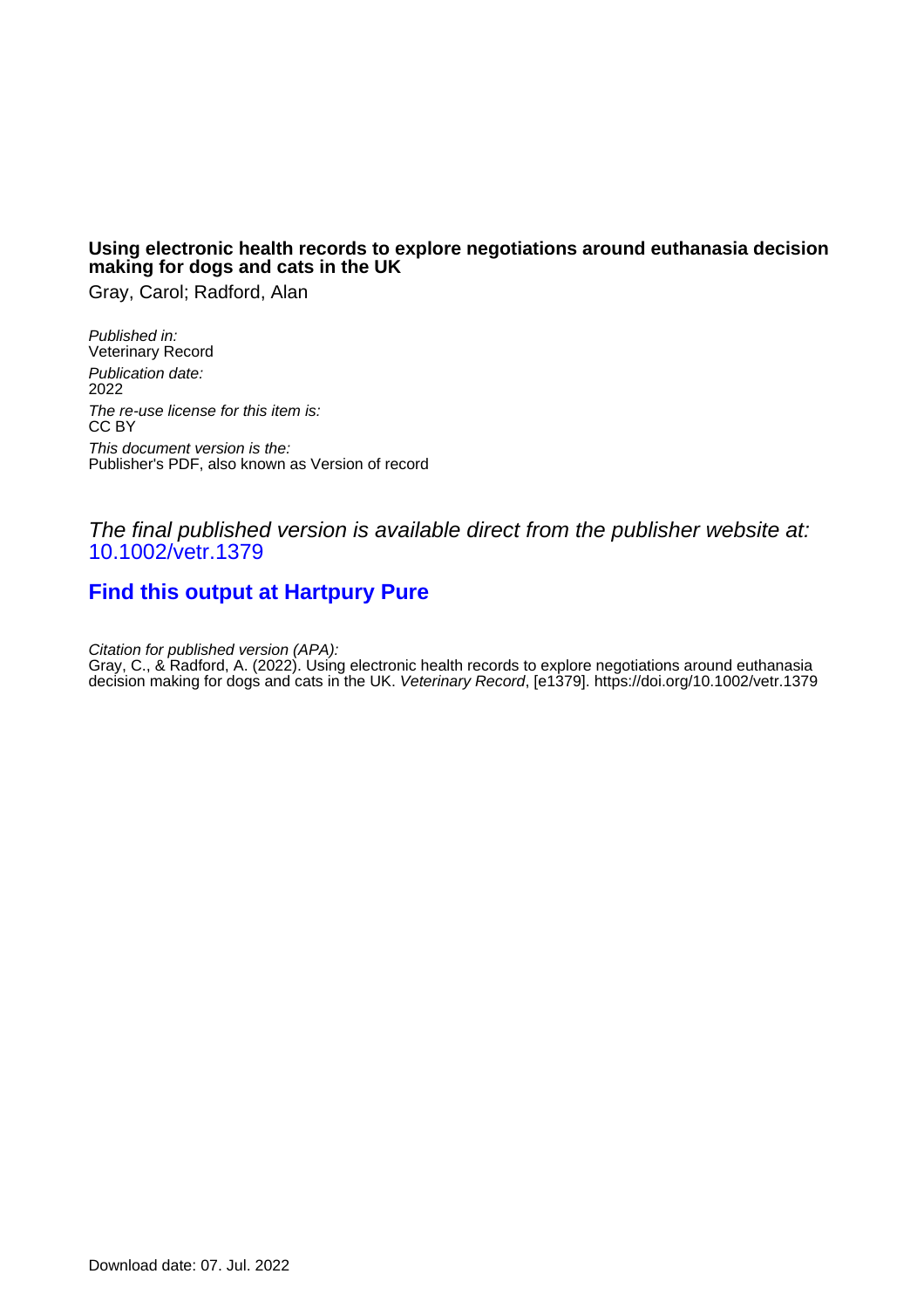## **Using electronic health records to explore negotiations around euthanasia decision making for dogs and cats in the UK**

Gray, Carol; Radford, Alan

Published in: Veterinary Record Publication date: 2022 The re-use license for this item is: CC BY This document version is the: Publisher's PDF, also known as Version of record

# The final published version is available direct from the publisher website at: [10.1002/vetr.1379](https://doi.org/10.1002/vetr.1379)

# **[Find this output at Hartpury Pure](https://hartpury.pure.elsevier.com/en/publications/e7cf2a76-4cd1-4144-9d8d-0c4099977152)**

Citation for published version (APA):

Gray, C., & Radford, A. (2022). Using electronic health records to explore negotiations around euthanasia decision making for dogs and cats in the UK. Veterinary Record, [e1379]. <https://doi.org/10.1002/vetr.1379>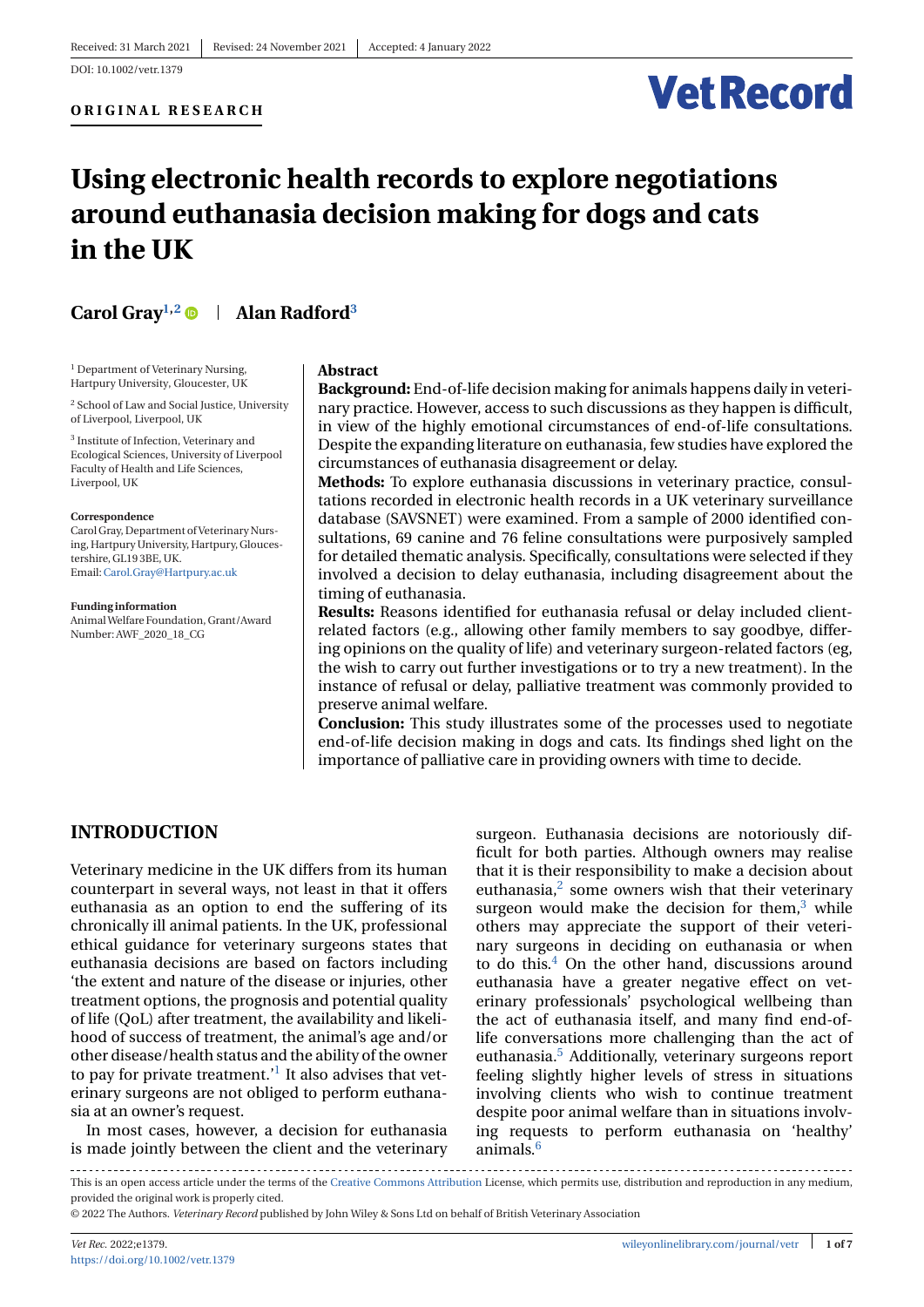# **Vet Record**

# **Using electronic health records to explore negotiations around euthanasia decision making for dogs and cats in the UK**

# **Carol Gray1,2 Alan Radford3**

<sup>1</sup> Department of Veterinary Nursing, Hartpury University, Gloucester, UK

<sup>2</sup> School of Law and Social Justice, University of Liverpool, Liverpool, UK

<sup>3</sup> Institute of Infection, Veterinary and Ecological Sciences, University of Liverpool Faculty of Health and Life Sciences, Liverpool, UK

#### **Correspondence**

Carol Gray, Department of Veterinary Nursing, Hartpury University, Hartpury, Gloucestershire, GL19 3BE, UK. Email:[Carol.Gray@Hartpury.ac.uk](mailto:Carol.Gray@Hartpury.ac.uk)

**Funding information** AnimalWelfare Foundation, Grant/Award Number: AWF\_2020\_18\_CG

#### **Abstract**

**Background:** End-of-life decision making for animals happens daily in veterinary practice. However, access to such discussions as they happen is difficult, in view of the highly emotional circumstances of end-of-life consultations. Despite the expanding literature on euthanasia, few studies have explored the circumstances of euthanasia disagreement or delay.

**Methods:** To explore euthanasia discussions in veterinary practice, consultations recorded in electronic health records in a UK veterinary surveillance database (SAVSNET) were examined. From a sample of 2000 identified consultations, 69 canine and 76 feline consultations were purposively sampled for detailed thematic analysis. Specifically, consultations were selected if they involved a decision to delay euthanasia, including disagreement about the timing of euthanasia.

**Results:** Reasons identified for euthanasia refusal or delay included clientrelated factors (e.g., allowing other family members to say goodbye, differing opinions on the quality of life) and veterinary surgeon-related factors (eg, the wish to carry out further investigations or to try a new treatment). In the instance of refusal or delay, palliative treatment was commonly provided to preserve animal welfare.

**Conclusion:** This study illustrates some of the processes used to negotiate end-of-life decision making in dogs and cats. Its findings shed light on the importance of palliative care in providing owners with time to decide.

#### **INTRODUCTION**

Veterinary medicine in the UK differs from its human counterpart in several ways, not least in that it offers euthanasia as an option to end the suffering of its chronically ill animal patients. In the UK, professional ethical guidance for veterinary surgeons states that euthanasia decisions are based on factors including 'the extent and nature of the disease or injuries, other treatment options, the prognosis and potential quality of life (QoL) after treatment, the availability and likelihood of success of treatment, the animal's age and/or other disease/health status and the ability of the owner to pay for private treatment.<sup> $1$ </sup> It also advises that veterinary surgeons are not obliged to perform euthanasia at an owner's request.

In most cases, however, a decision for euthanasia is made jointly between the client and the veterinary surgeon. Euthanasia decisions are notoriously difficult for both parties. Although owners may realise that it is their responsibility to make a decision about euthanasia, $2$  some owners wish that their veterinary surgeon would make the decision for them, $3$  while others may appreciate the support of their veterinary surgeons in deciding on euthanasia or when to do this. $4$  On the other hand, discussions around euthanasia have a greater negative effect on veterinary professionals' psychological wellbeing than the act of euthanasia itself, and many find end-oflife conversations more challenging than the act of euthanasia[.5](#page-6-0) Additionally, veterinary surgeons report feeling slightly higher levels of stress in situations involving clients who wish to continue treatment despite poor animal welfare than in situations involving requests to perform euthanasia on 'healthy' animals[.6](#page-6-0)

This is an open access article under the terms of the [Creative Commons Attribution](http://creativecommons.org/licenses/by/4.0/) License, which permits use, distribution and reproduction in any medium, provided the original work is properly cited.

© 2022 The Authors. *Veterinary Record* published by John Wiley & Sons Ltd on behalf of British Veterinary Association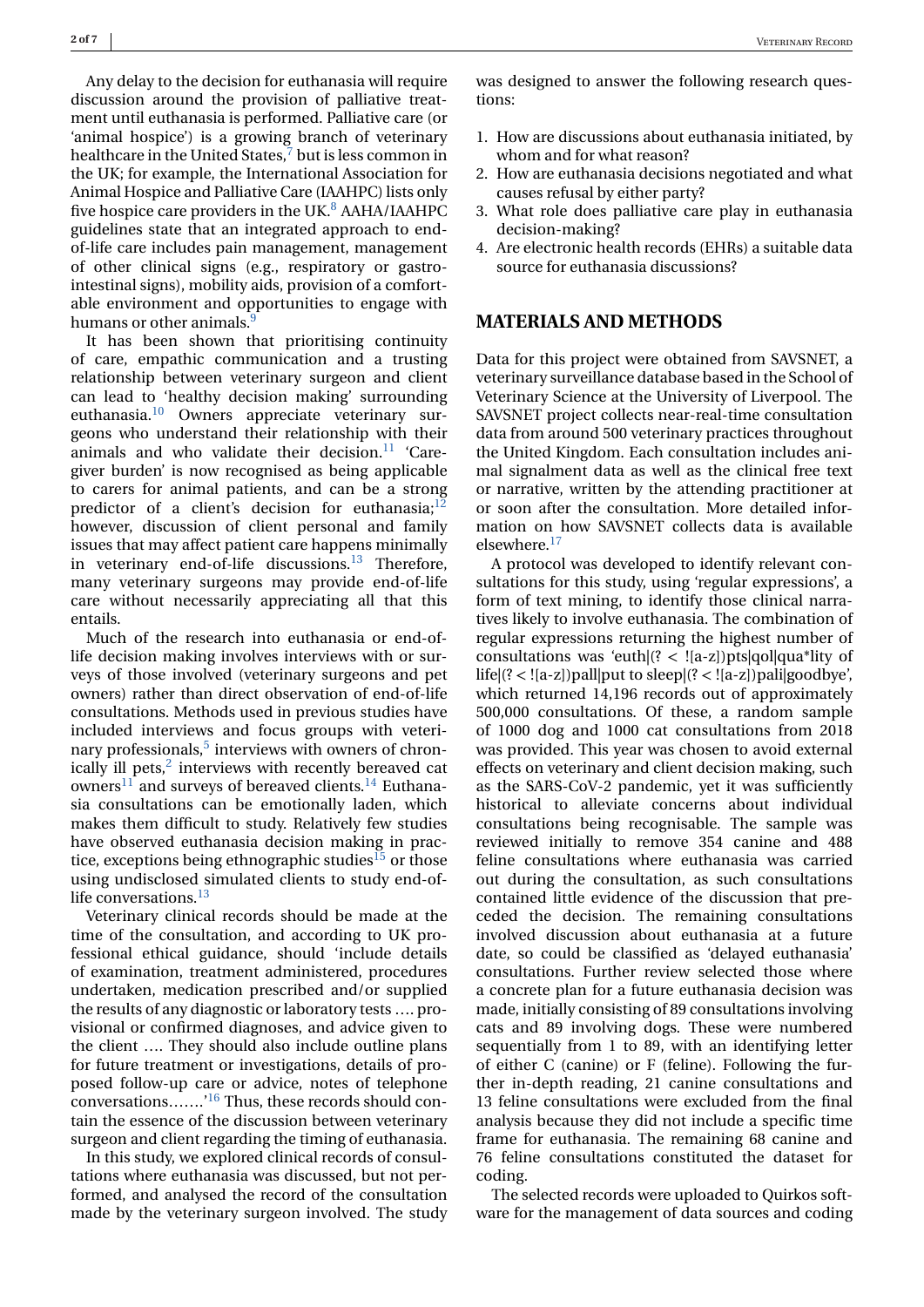Any delay to the decision for euthanasia will require discussion around the provision of palliative treatment until euthanasia is performed. Palliative care (or 'animal hospice') is a growing branch of veterinary healthcare in the United States, $<sup>7</sup>$  but is less common in</sup> the UK; for example, the International Association for Animal Hospice and Palliative Care (IAAHPC) lists only five hospice care providers in the UK. $8$  AAHA/IAAHPC guidelines state that an integrated approach to endof-life care includes pain management, management of other clinical signs (e.g., respiratory or gastrointestinal signs), mobility aids, provision of a comfortable environment and opportunities to engage with humans or other animals.<sup>9</sup>

It has been shown that prioritising continuity of care, empathic communication and a trusting relationship between veterinary surgeon and client can lead to 'healthy decision making' surrounding euthanasia.<sup>10</sup> Owners appreciate veterinary surgeons who understand their relationship with their animals and who validate their decision. $11$  'Caregiver burden' is now recognised as being applicable to carers for animal patients, and can be a strong predictor of a client's decision for euthanasia; $^{12}$ however, discussion of client personal and family issues that may affect patient care happens minimally in veterinary end-of-life discussions. $^{13}$  $^{13}$  $^{13}$  Therefore, many veterinary surgeons may provide end-of-life care without necessarily appreciating all that this entails.

Much of the research into euthanasia or end-oflife decision making involves interviews with or surveys of those involved (veterinary surgeons and pet owners) rather than direct observation of end-of-life consultations. Methods used in previous studies have included interviews and focus groups with veterinary professionals, $5$  interviews with owners of chronically ill pets, $<sup>2</sup>$  $<sup>2</sup>$  $<sup>2</sup>$  interviews with recently bereaved cat</sup> owners<sup>[11](#page-7-0)</sup> and surveys of bereaved clients.<sup>14</sup> Euthanasia consultations can be emotionally laden, which makes them difficult to study. Relatively few studies have observed euthanasia decision making in prac-tice, exceptions being ethnographic studies<sup>[15](#page-7-0)</sup> or those using undisclosed simulated clients to study end-oflife conversations. $^{13}$  $^{13}$  $^{13}$ 

Veterinary clinical records should be made at the time of the consultation, and according to UK professional ethical guidance, should 'include details of examination, treatment administered, procedures undertaken, medication prescribed and/or supplied the results of any diagnostic or laboratory tests …. provisional or confirmed diagnoses, and advice given to the client …. They should also include outline plans for future treatment or investigations, details of proposed follow-up care or advice, notes of telephone conversations…….['16](#page-7-0) Thus, these records should contain the essence of the discussion between veterinary surgeon and client regarding the timing of euthanasia.

In this study, we explored clinical records of consultations where euthanasia was discussed, but not performed, and analysed the record of the consultation made by the veterinary surgeon involved. The study was designed to answer the following research questions:

- 1. How are discussions about euthanasia initiated, by whom and for what reason?
- 2. How are euthanasia decisions negotiated and what causes refusal by either party?
- 3. What role does palliative care play in euthanasia decision-making?
- 4. Are electronic health records (EHRs) a suitable data source for euthanasia discussions?

#### **MATERIALS AND METHODS**

Data for this project were obtained from SAVSNET, a veterinary surveillance database based in the School of Veterinary Science at the University of Liverpool. The SAVSNET project collects near-real-time consultation data from around 500 veterinary practices throughout the United Kingdom. Each consultation includes animal signalment data as well as the clinical free text or narrative, written by the attending practitioner at or soon after the consultation. More detailed information on how SAVSNET collects data is available elsewhere.<sup>17</sup>

A protocol was developed to identify relevant consultations for this study, using 'regular expressions', a form of text mining, to identify those clinical narratives likely to involve euthanasia. The combination of regular expressions returning the highest number of consultations was 'euth $(2 < |[a-z|]$ )pts|qol|qua\*lity of life|(? < ![a-z])pall|put to sleep|(? < ![a-z])pali|goodbye', which returned 14,196 records out of approximately 500,000 consultations. Of these, a random sample of 1000 dog and 1000 cat consultations from 2018 was provided. This year was chosen to avoid external effects on veterinary and client decision making, such as the SARS-CoV-2 pandemic, yet it was sufficiently historical to alleviate concerns about individual consultations being recognisable. The sample was reviewed initially to remove 354 canine and 488 feline consultations where euthanasia was carried out during the consultation, as such consultations contained little evidence of the discussion that preceded the decision. The remaining consultations involved discussion about euthanasia at a future date, so could be classified as 'delayed euthanasia' consultations. Further review selected those where a concrete plan for a future euthanasia decision was made, initially consisting of 89 consultations involving cats and 89 involving dogs. These were numbered sequentially from 1 to 89, with an identifying letter of either C (canine) or F (feline). Following the further in-depth reading, 21 canine consultations and 13 feline consultations were excluded from the final analysis because they did not include a specific time frame for euthanasia. The remaining 68 canine and 76 feline consultations constituted the dataset for coding.

The selected records were uploaded to Quirkos software for the management of data sources and coding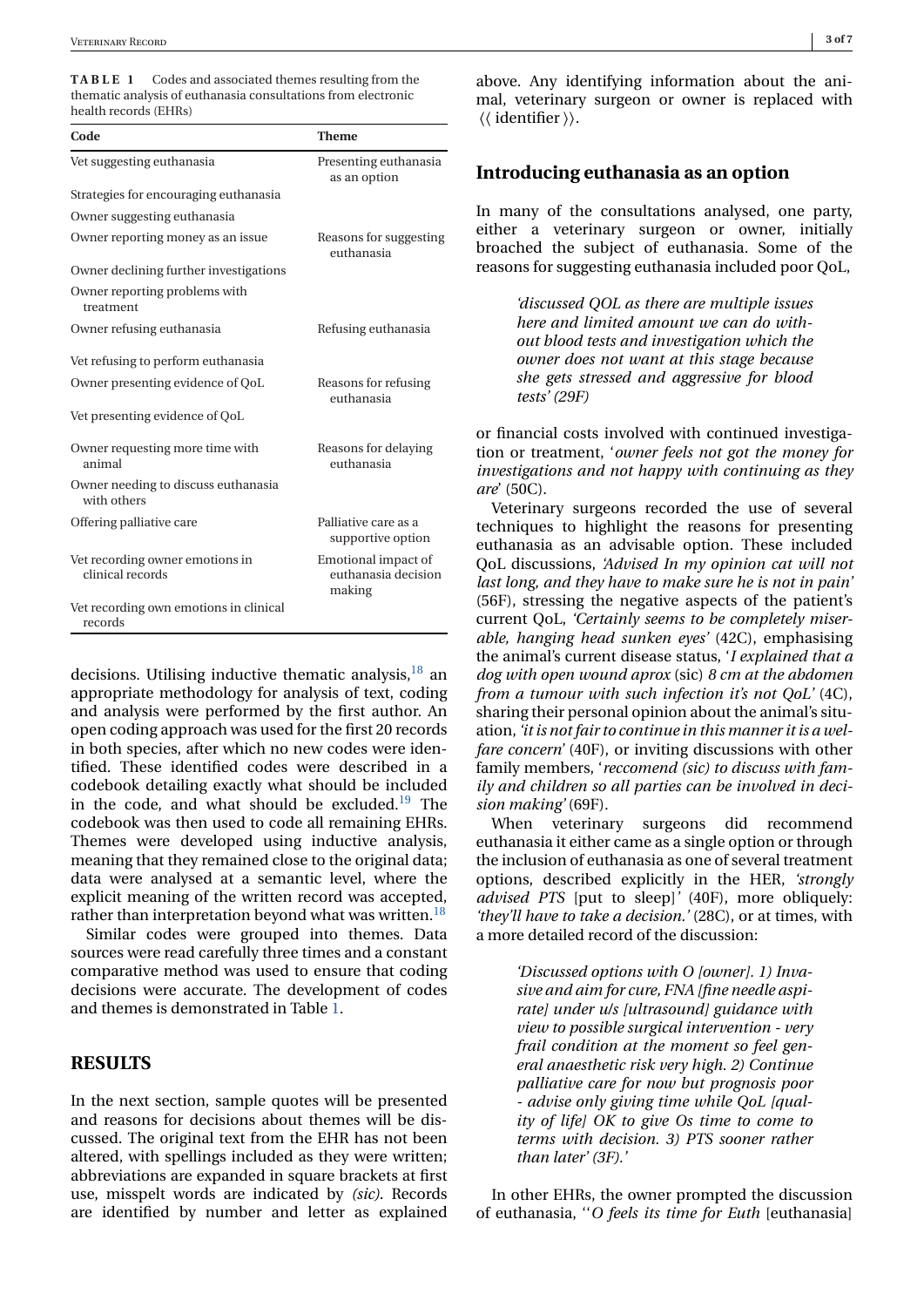**TABLE 1** Codes and associated themes resulting from the thematic analysis of euthanasia consultations from electronic health records (EHRs)

| Code                                                | <b>Theme</b>                                         |
|-----------------------------------------------------|------------------------------------------------------|
| Vet suggesting euthanasia                           | Presenting euthanasia<br>as an option                |
| Strategies for encouraging euthanasia               |                                                      |
| Owner suggesting euthanasia                         |                                                      |
| Owner reporting money as an issue                   | Reasons for suggesting<br>euthanasia                 |
| Owner declining further investigations              |                                                      |
| Owner reporting problems with<br>treatment          |                                                      |
| Owner refusing euthanasia                           | Refusing euthanasia                                  |
| Vet refusing to perform euthanasia                  |                                                      |
| Owner presenting evidence of QoL                    | Reasons for refusing<br>euthanasia                   |
| Vet presenting evidence of QoL                      |                                                      |
| Owner requesting more time with<br>animal           | Reasons for delaying<br>euthanasia                   |
| Owner needing to discuss euthanasia<br>with others  |                                                      |
| Offering palliative care                            | Palliative care as a<br>supportive option            |
| Vet recording owner emotions in<br>clinical records | Emotional impact of<br>euthanasia decision<br>making |
| Vet recording own emotions in clinical<br>records   |                                                      |

decisions. Utilising inductive thematic analysis,  $18$  an appropriate methodology for analysis of text, coding and analysis were performed by the first author. An open coding approach was used for the first 20 records in both species, after which no new codes were identified. These identified codes were described in a codebook detailing exactly what should be included in the code, and what should be excluded.<sup>19</sup> The codebook was then used to code all remaining EHRs. Themes were developed using inductive analysis, meaning that they remained close to the original data; data were analysed at a semantic level, where the explicit meaning of the written record was accepted, rather than interpretation beyond what was written.<sup>18</sup>

Similar codes were grouped into themes. Data sources were read carefully three times and a constant comparative method was used to ensure that coding decisions were accurate. The development of codes and themes is demonstrated in Table 1.

#### **RESULTS**

In the next section, sample quotes will be presented and reasons for decisions about themes will be discussed. The original text from the EHR has not been altered, with spellings included as they were written; abbreviations are expanded in square brackets at first use, misspelt words are indicated by *(sic)*. Records are identified by number and letter as explained

above. Any identifying information about the animal, veterinary surgeon or owner is replaced with ⟨⟨ identifier ⟩⟩.

#### **Introducing euthanasia as an option**

In many of the consultations analysed, one party, either a veterinary surgeon or owner, initially broached the subject of euthanasia. Some of the reasons for suggesting euthanasia included poor QoL,

> *'discussed QOL as there are multiple issues here and limited amount we can do without blood tests and investigation which the owner does not want at this stage because she gets stressed and aggressive for blood tests' (29F)*

or financial costs involved with continued investigation or treatment, '*owner feels not got the money for investigations and not happy with continuing as they are*' (50C).

Veterinary surgeons recorded the use of several techniques to highlight the reasons for presenting euthanasia as an advisable option. These included QoL discussions, *'Advised In my opinion cat will not last long, and they have to make sure he is not in pain'* (56F), stressing the negative aspects of the patient's current QoL, *'Certainly seems to be completely miserable, hanging head sunken eyes'* (42C), emphasising the animal's current disease status, '*I explained that a dog with open wound aprox* (sic) *8 cm at the abdomen from a tumour with such infection it's not QoL'* (4C), sharing their personal opinion about the animal's situation, *'it is not fair to continue in this manner it is a welfare concern'* (40F), or inviting discussions with other family members, '*reccomend (sic) to discuss with family and children so all parties can be involved in decision making'* (69F).

When veterinary surgeons did recommend euthanasia it either came as a single option or through the inclusion of euthanasia as one of several treatment options, described explicitly in the HER, *'strongly advised PTS* [put to sleep]*'* (40F), more obliquely: *'they'll have to take a decision.'* (28C), or at times, with a more detailed record of the discussion:

> *'Discussed options with O [owner]. 1) Invasive and aim for cure, FNA [fine needle aspirate] under u/s [ultrasound] guidance with view to possible surgical intervention - very frail condition at the moment so feel general anaesthetic risk very high. 2) Continue palliative care for now but prognosis poor - advise only giving time while QoL [quality of life] OK to give Os time to come to terms with decision. 3) PTS sooner rather than later' (3F).'*

In other EHRs, the owner prompted the discussion of euthanasia, ''*O feels its time for Euth* [euthanasia]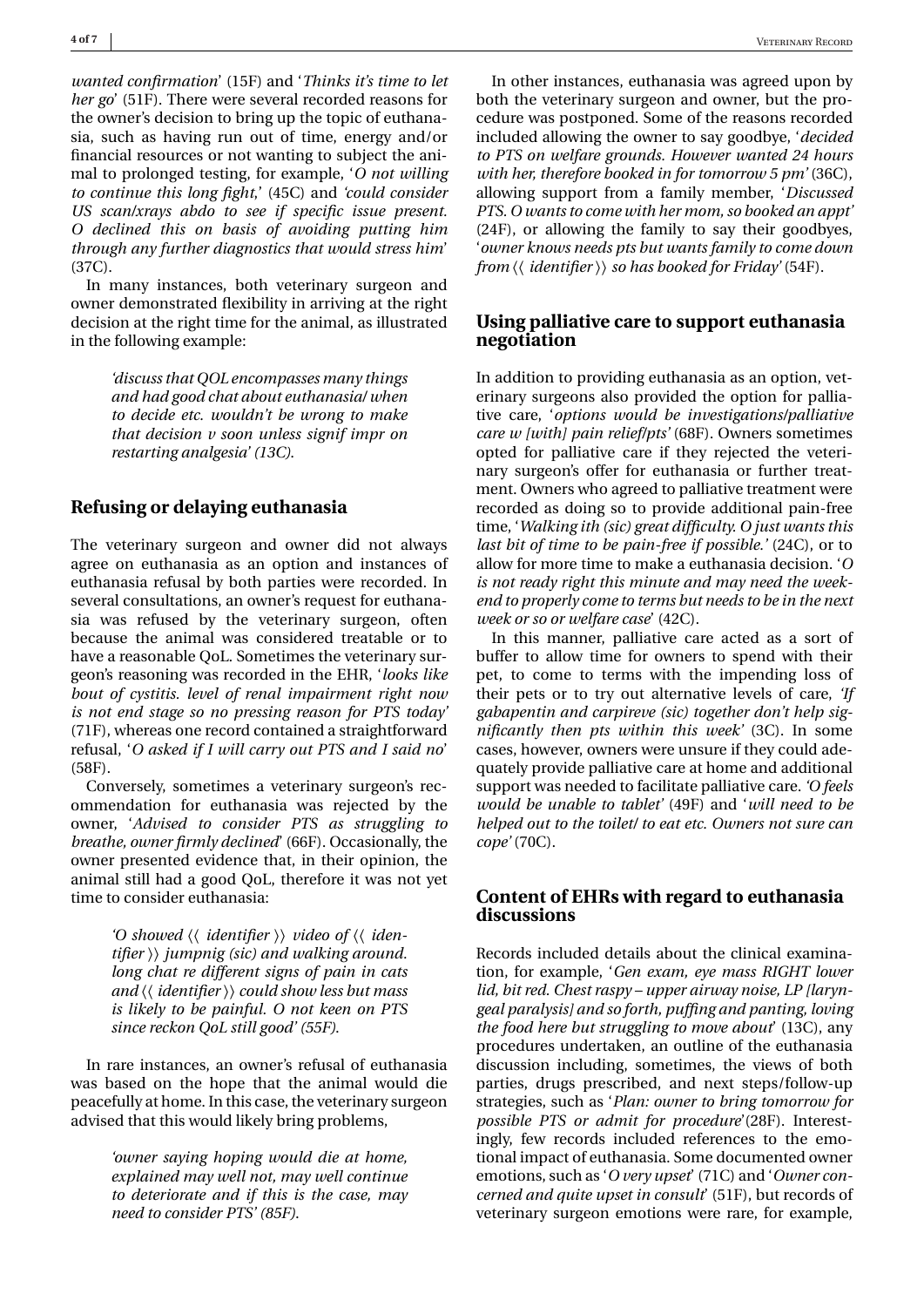*wanted confirmation*' (15F) and '*Thinks it's time to let her go*' (51F). There were several recorded reasons for the owner's decision to bring up the topic of euthanasia, such as having run out of time, energy and/or financial resources or not wanting to subject the animal to prolonged testing, for example, '*O not willing to continue this long fight*,' (45C) and *'could consider US scan/xrays abdo to see if specific issue present. O declined this on basis of avoiding putting him through any further diagnostics that would stress him*' (37C).

In many instances, both veterinary surgeon and owner demonstrated flexibility in arriving at the right decision at the right time for the animal, as illustrated in the following example:

> *'discuss that QOL encompasses many things and had good chat about euthanasia/ when to decide etc. wouldn't be wrong to make that decision v soon unless signif impr on restarting analgesia' (13C)*.

#### **Refusing or delaying euthanasia**

The veterinary surgeon and owner did not always agree on euthanasia as an option and instances of euthanasia refusal by both parties were recorded. In several consultations, an owner's request for euthanasia was refused by the veterinary surgeon, often because the animal was considered treatable or to have a reasonable QoL. Sometimes the veterinary surgeon's reasoning was recorded in the EHR, '*looks like bout of cystitis. level of renal impairment right now is not end stage so no pressing reason for PTS today'* (71F), whereas one record contained a straightforward refusal, '*O asked if I will carry out PTS and I said no*' (58F).

Conversely, sometimes a veterinary surgeon's recommendation for euthanasia was rejected by the owner, '*Advised to consider PTS as struggling to breathe, owner firmly declined*' (66F). Occasionally, the owner presented evidence that, in their opinion, the animal still had a good QoL, therefore it was not yet time to consider euthanasia:

> *'O showed* ⟨⟨ *identifier* ⟩⟩ *video of* ⟨⟨ *identifier* ⟩⟩ *jumpnig (sic) and walking around. long chat re different signs of pain in cats and* ⟨⟨ *identifier* ⟩⟩ *could show less but mass is likely to be painful. O not keen on PTS since reckon QoL still good' (55F)*.

In rare instances, an owner's refusal of euthanasia was based on the hope that the animal would die peacefully at home. In this case, the veterinary surgeon advised that this would likely bring problems,

> *'owner saying hoping would die at home, explained may well not, may well continue to deteriorate and if this is the case, may need to consider PTS' (85F)*.

In other instances, euthanasia was agreed upon by both the veterinary surgeon and owner, but the procedure was postponed. Some of the reasons recorded included allowing the owner to say goodbye, '*decided to PTS on welfare grounds. However wanted 24 hours with her, therefore booked in for tomorrow 5 pm'* (36C), allowing support from a family member, '*Discussed PTS. O wants to come with her mom, so booked an appt'* (24F), or allowing the family to say their goodbyes, '*owner knows needs pts but wants family to come down from* ⟨⟨ *identifier* ⟩⟩ *so has booked for Friday'* (54F).

#### **Using palliative care to support euthanasia negotiation**

In addition to providing euthanasia as an option, veterinary surgeons also provided the option for palliative care, '*options would be investigations/palliative care w [with] pain relief/pts'* (68F). Owners sometimes opted for palliative care if they rejected the veterinary surgeon's offer for euthanasia or further treatment. Owners who agreed to palliative treatment were recorded as doing so to provide additional pain-free time, '*Walking ith (sic) great difficulty. O just wants this last bit of time to be pain-free if possible.'* (24C), or to allow for more time to make a euthanasia decision. '*O is not ready right this minute and may need the weekend to properly come to terms but needs to be in the next week or so or welfare case*' (42C).

In this manner, palliative care acted as a sort of buffer to allow time for owners to spend with their pet, to come to terms with the impending loss of their pets or to try out alternative levels of care, *'If gabapentin and carpireve (sic) together don't help significantly then pts within this week'* (3C). In some cases, however, owners were unsure if they could adequately provide palliative care at home and additional support was needed to facilitate palliative care. *'O feels would be unable to tablet'* (49F) and '*will need to be helped out to the toilet/ to eat etc. Owners not sure can cope'* (70C).

#### **Content of EHRs with regard to euthanasia discussions**

Records included details about the clinical examination, for example, '*Gen exam, eye mass RIGHT lower lid, bit red. Chest raspy – upper airway noise, LP [laryngeal paralysis] and so forth, puffing and panting, loving the food here but struggling to move about*' (13C), any procedures undertaken, an outline of the euthanasia discussion including, sometimes, the views of both parties, drugs prescribed, and next steps/follow-up strategies, such as '*Plan: owner to bring tomorrow for possible PTS or admit for procedure*'(28F). Interestingly, few records included references to the emotional impact of euthanasia. Some documented owner emotions, such as '*O very upset*' (71C) and '*Owner concerned and quite upset in consult*' (51F), but records of veterinary surgeon emotions were rare, for example,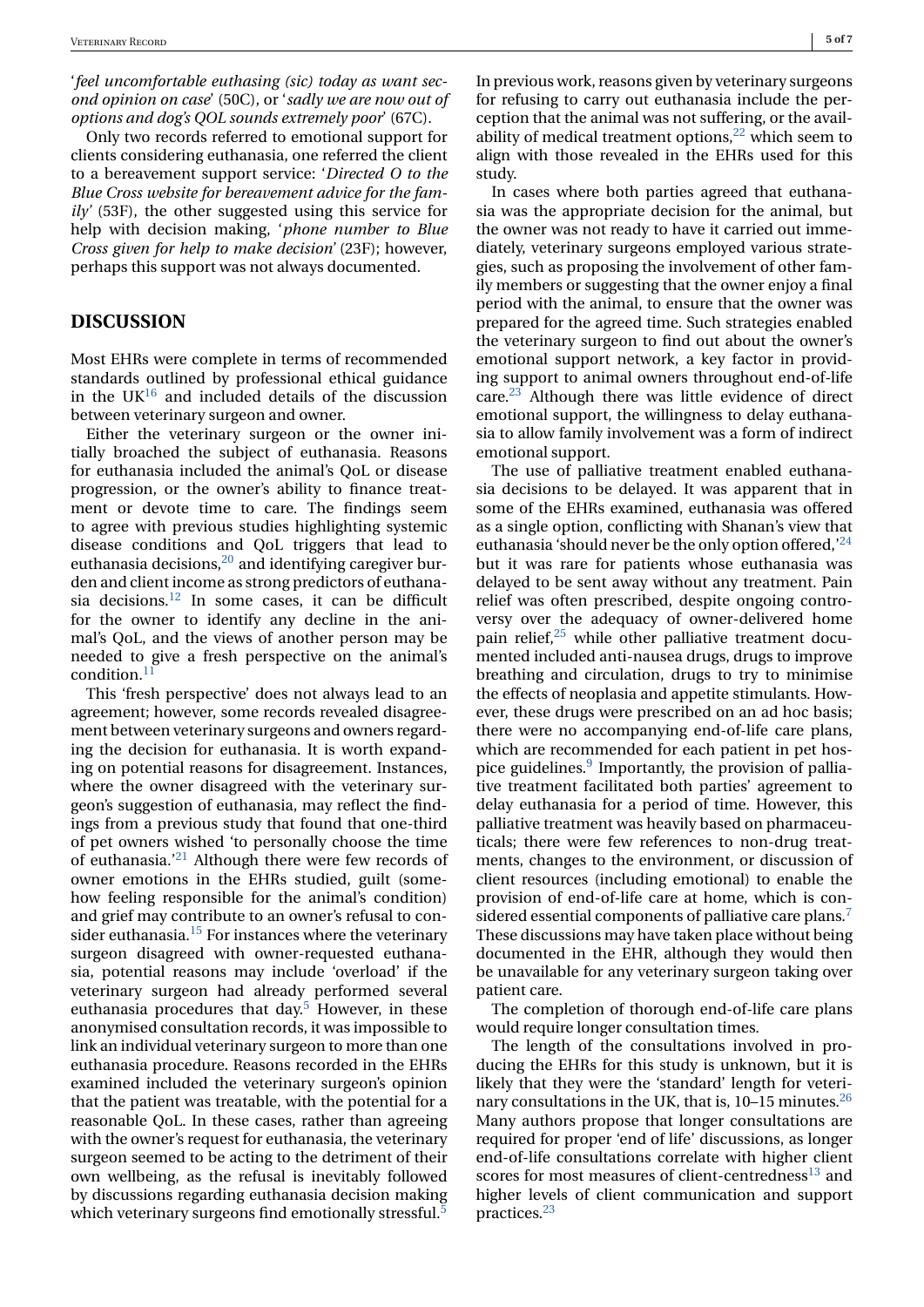'*feel uncomfortable euthasing (sic) today as want second opinion on case*' (50C), or '*sadly we are now out of options and dog's QOL sounds extremely poor*' (67C).

Only two records referred to emotional support for clients considering euthanasia, one referred the client to a bereavement support service: '*Directed O to the Blue Cross website for bereavement advice for the family'* (53F), the other suggested using this service for help with decision making, '*phone number to Blue Cross given for help to make decision'* (23F); however, perhaps this support was not always documented.

#### **DISCUSSION**

Most EHRs were complete in terms of recommended standards outlined by professional ethical guidance in the  $UK^{16}$  and included details of the discussion between veterinary surgeon and owner.

Either the veterinary surgeon or the owner initially broached the subject of euthanasia. Reasons for euthanasia included the animal's QoL or disease progression, or the owner's ability to finance treatment or devote time to care. The findings seem to agree with previous studies highlighting systemic disease conditions and QoL triggers that lead to euthanasia decisions, $^{20}$  $^{20}$  $^{20}$  and identifying caregiver burden and client income as strong predictors of euthanasia decisions. $12$  In some cases, it can be difficult for the owner to identify any decline in the animal's QoL, and the views of another person may be needed to give a fresh perspective on the animal's condition. $11$ 

This 'fresh perspective' does not always lead to an agreement; however, some records revealed disagreement between veterinary surgeons and owners regarding the decision for euthanasia. It is worth expanding on potential reasons for disagreement. Instances, where the owner disagreed with the veterinary surgeon's suggestion of euthanasia, may reflect the findings from a previous study that found that one-third of pet owners wished 'to personally choose the time of euthanasia.['21](#page-7-0) Although there were few records of owner emotions in the EHRs studied, guilt (somehow feeling responsible for the animal's condition) and grief may contribute to an owner's refusal to consider euthanasia. $15$  For instances where the veterinary surgeon disagreed with owner-requested euthanasia, potential reasons may include 'overload' if the veterinary surgeon had already performed several euthanasia procedures that day.<sup>5</sup> However, in these anonymised consultation records, it was impossible to link an individual veterinary surgeon to more than one euthanasia procedure. Reasons recorded in the EHRs examined included the veterinary surgeon's opinion that the patient was treatable, with the potential for a reasonable QoL. In these cases, rather than agreeing with the owner's request for euthanasia, the veterinary surgeon seemed to be acting to the detriment of their own wellbeing, as the refusal is inevitably followed by discussions regarding euthanasia decision making which veterinary surgeons find emotionally stressful.<sup>5</sup>

In previous work, reasons given by veterinary surgeons for refusing to carry out euthanasia include the perception that the animal was not suffering, or the availability of medical treatment options, $^{22}$  $^{22}$  $^{22}$  which seem to align with those revealed in the EHRs used for this study.

In cases where both parties agreed that euthanasia was the appropriate decision for the animal, but the owner was not ready to have it carried out immediately, veterinary surgeons employed various strategies, such as proposing the involvement of other family members or suggesting that the owner enjoy a final period with the animal, to ensure that the owner was prepared for the agreed time. Such strategies enabled the veterinary surgeon to find out about the owner's emotional support network, a key factor in providing support to animal owners throughout end-of-life care. $^{23}$  Although there was little evidence of direct emotional support, the willingness to delay euthanasia to allow family involvement was a form of indirect emotional support.

The use of palliative treatment enabled euthanasia decisions to be delayed. It was apparent that in some of the EHRs examined, euthanasia was offered as a single option, conflicting with Shanan's view that euthanasia 'should never be the only option offered,  $24$ but it was rare for patients whose euthanasia was delayed to be sent away without any treatment. Pain relief was often prescribed, despite ongoing controversy over the adequacy of owner-delivered home pain relief, $25$  while other palliative treatment documented included anti-nausea drugs, drugs to improve breathing and circulation, drugs to try to minimise the effects of neoplasia and appetite stimulants. However, these drugs were prescribed on an ad hoc basis; there were no accompanying end-of-life care plans, which are recommended for each patient in pet hospice guidelines. $9$  Importantly, the provision of palliative treatment facilitated both parties' agreement to delay euthanasia for a period of time. However, this palliative treatment was heavily based on pharmaceuticals; there were few references to non-drug treatments, changes to the environment, or discussion of client resources (including emotional) to enable the provision of end-of-life care at home, which is considered essential components of palliative care plans.<sup>7</sup> These discussions may have taken place without being documented in the EHR, although they would then be unavailable for any veterinary surgeon taking over patient care.

The completion of thorough end-of-life care plans would require longer consultation times.

The length of the consultations involved in producing the EHRs for this study is unknown, but it is likely that they were the 'standard' length for veterinary consultations in the UK, that is,  $10-15$  minutes.<sup>26</sup> Many authors propose that longer consultations are required for proper 'end of life' discussions, as longer end-of-life consultations correlate with higher client scores for most measures of client-centredness<sup>[13](#page-7-0)</sup> and higher levels of client communication and support practices[.23](#page-7-0)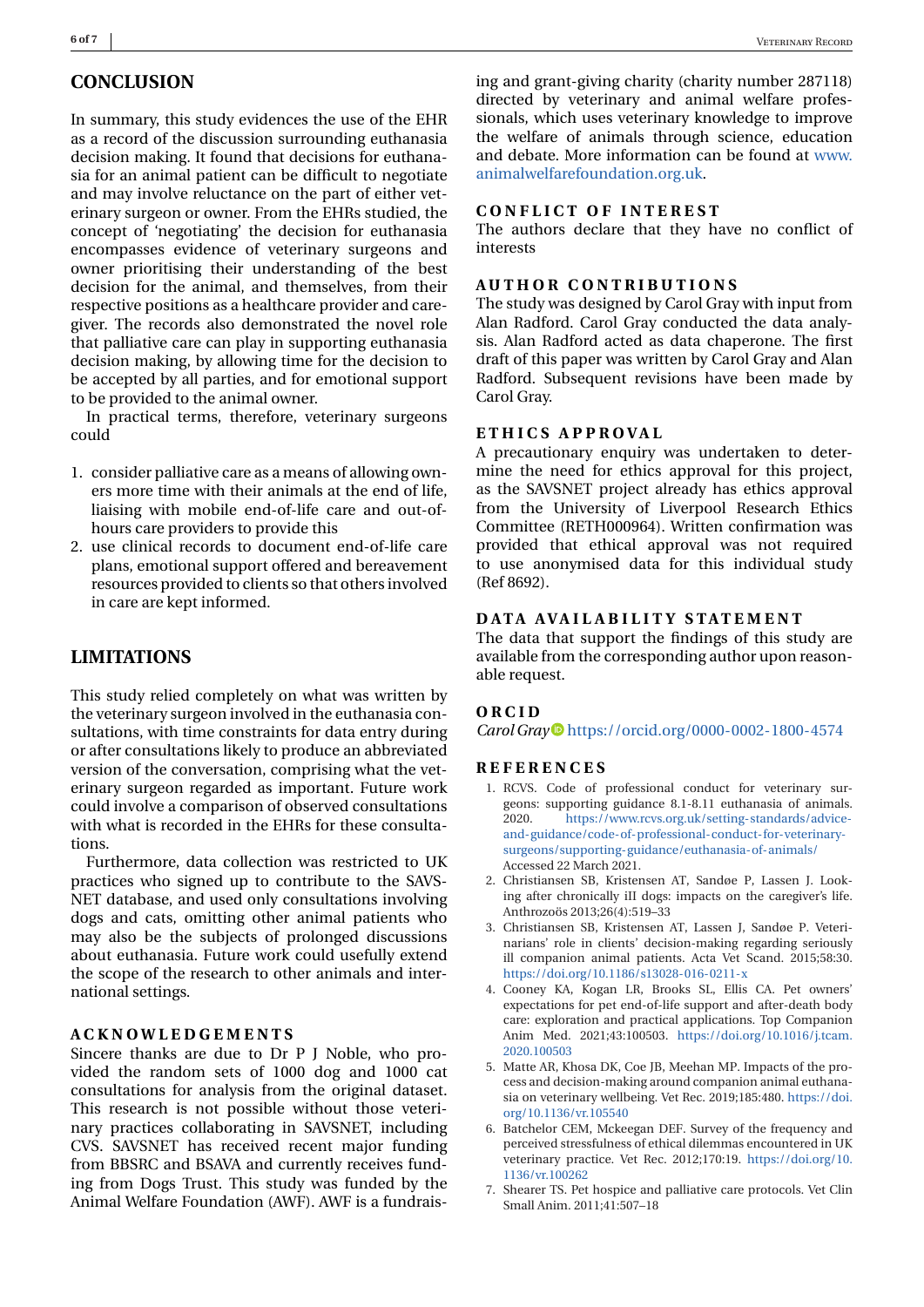<span id="page-6-0"></span>In summary, this study evidences the use of the EHR as a record of the discussion surrounding euthanasia decision making. It found that decisions for euthanasia for an animal patient can be difficult to negotiate and may involve reluctance on the part of either veterinary surgeon or owner. From the EHRs studied, the concept of 'negotiating' the decision for euthanasia encompasses evidence of veterinary surgeons and owner prioritising their understanding of the best decision for the animal, and themselves, from their respective positions as a healthcare provider and caregiver. The records also demonstrated the novel role that palliative care can play in supporting euthanasia decision making, by allowing time for the decision to be accepted by all parties, and for emotional support to be provided to the animal owner.

In practical terms, therefore, veterinary surgeons could

- 1. consider palliative care as a means of allowing owners more time with their animals at the end of life, liaising with mobile end-of-life care and out-ofhours care providers to provide this
- 2. use clinical records to document end-of-life care plans, emotional support offered and bereavement resources provided to clients so that others involved in care are kept informed.

### **LIMITATIONS**

This study relied completely on what was written by the veterinary surgeon involved in the euthanasia consultations, with time constraints for data entry during or after consultations likely to produce an abbreviated version of the conversation, comprising what the veterinary surgeon regarded as important. Future work could involve a comparison of observed consultations with what is recorded in the EHRs for these consultations.

Furthermore, data collection was restricted to UK practices who signed up to contribute to the SAVS-NET database, and used only consultations involving dogs and cats, omitting other animal patients who may also be the subjects of prolonged discussions about euthanasia. Future work could usefully extend the scope of the research to other animals and international settings.

#### **ACKNOWLEDGEMENTS**

Sincere thanks are due to Dr P J Noble, who provided the random sets of 1000 dog and 1000 cat consultations for analysis from the original dataset. This research is not possible without those veterinary practices collaborating in SAVSNET, including CVS. SAVSNET has received recent major funding from BBSRC and BSAVA and currently receives funding from Dogs Trust. This study was funded by the Animal Welfare Foundation (AWF). AWF is a fundraising and grant-giving charity (charity number 287118) directed by veterinary and animal welfare professionals, which uses veterinary knowledge to improve the welfare of animals through science, education and debate. More information can be found at [www.](http://www.animalwelfarefoundation.org.uk) [animalwelfarefoundation.org.uk.](http://www.animalwelfarefoundation.org.uk)

#### **CONFLICT OF INTEREST**

The authors declare that they have no conflict of interests

#### **AUTHOR CONTRIBUTIONS**

The study was designed by Carol Gray with input from Alan Radford. Carol Gray conducted the data analysis. Alan Radford acted as data chaperone. The first draft of this paper was written by Carol Gray and Alan Radford. Subsequent revisions have been made by Carol Gray.

#### **ETHICS APPROVAL**

A precautionary enquiry was undertaken to determine the need for ethics approval for this project, as the SAVSNET project already has ethics approval from the University of Liverpool Research Ethics Committee (RETH000964). Written confirmation was provided that ethical approval was not required to use anonymised data for this individual study (Ref 8692).

#### **DATA AVAILABILITY STATEMENT**

The data that support the findings of this study are available from the corresponding author upon reasonable request.

#### **ORCID**

*Carol Gray* <https://orcid.org/0000-0002-1800-4574>

#### **REFERENCES**

- 1. RCVS. Code of professional conduct for veterinary surgeons: supporting guidance 8.1-8.11 euthanasia of animals. 2020. [https://www.rcvs.org.uk/setting-standards/advice](https://www.rcvs.org.uk/setting-standards/advice-and-guidance/code-of-professional-conduct-for-veterinary-surgeons/supporting-guidance/euthanasia-of-animals/)[and-guidance/code-of-professional-conduct-for-veterinary](https://www.rcvs.org.uk/setting-standards/advice-and-guidance/code-of-professional-conduct-for-veterinary-surgeons/supporting-guidance/euthanasia-of-animals/)[surgeons/supporting-guidance/euthanasia-of-animals/](https://www.rcvs.org.uk/setting-standards/advice-and-guidance/code-of-professional-conduct-for-veterinary-surgeons/supporting-guidance/euthanasia-of-animals/) Accessed 22 March 2021.
- 2. Christiansen SB, Kristensen AT, Sandøe P, Lassen J. Looking after chronically iII dogs: impacts on the caregiver's life. Anthrozoös 2013;26(4):519–33
- 3. Christiansen SB, Kristensen AT, Lassen J, Sandøe P. Veterinarians' role in clients' decision-making regarding seriously ill companion animal patients. Acta Vet Scand. 2015;58:30. <https://doi.org/10.1186/s13028-016-0211-x>
- 4. Cooney KA, Kogan LR, Brooks SL, Ellis CA. Pet owners' expectations for pet end-of-life support and after-death body care: exploration and practical applications. Top Companion Anim Med. 2021;43:100503. [https://doi.org/10.1016/j.tcam.](https://doi.org/10.1016/j.tcam.2020.100503) [2020.100503](https://doi.org/10.1016/j.tcam.2020.100503)
- 5. Matte AR, Khosa DK, Coe JB, Meehan MP. Impacts of the process and decision-making around companion animal euthanasia on veterinary wellbeing. Vet Rec. 2019;185:480. [https://doi.](https://doi.org/10.1136/vr.105540) [org/10.1136/vr.105540](https://doi.org/10.1136/vr.105540)
- 6. Batchelor CEM, Mckeegan DEF. Survey of the frequency and perceived stressfulness of ethical dilemmas encountered in UK veterinary practice. Vet Rec. 2012;170:19. [https://doi.org/10.](https://doi.org/10.1136/vr.100262) [1136/vr.100262](https://doi.org/10.1136/vr.100262)
- 7. Shearer TS. Pet hospice and palliative care protocols. Vet Clin Small Anim. 2011;41:507–18